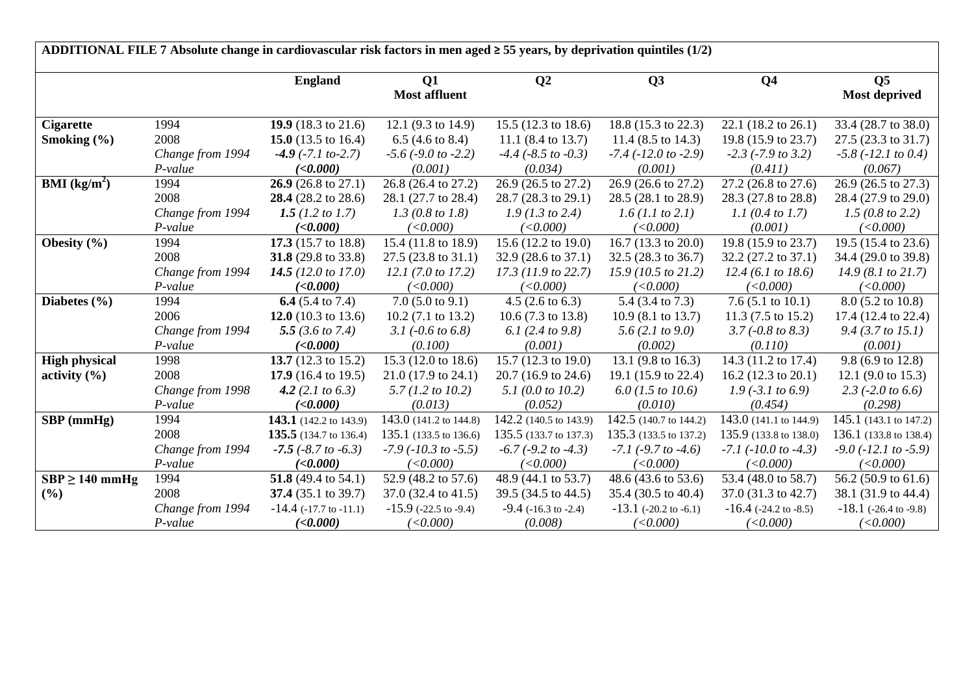| ADDITIONAL FILE 7 Absolute change in cardiovascular risk factors in men aged $\geq$ 55 years, by deprivation quintiles (1/2) |                  |                                |                               |                                |                               |                               |                               |  |  |  |
|------------------------------------------------------------------------------------------------------------------------------|------------------|--------------------------------|-------------------------------|--------------------------------|-------------------------------|-------------------------------|-------------------------------|--|--|--|
|                                                                                                                              |                  | <b>England</b>                 | Q1                            | Q <sub>2</sub>                 | Q3                            | Q <sub>4</sub>                | Q <sub>5</sub>                |  |  |  |
|                                                                                                                              |                  |                                | <b>Most affluent</b>          |                                |                               |                               | <b>Most deprived</b>          |  |  |  |
| <b>Cigarette</b>                                                                                                             | 1994             | 19.9 (18.3 to 21.6)            | 12.1 (9.3 to 14.9)            | 15.5 (12.3 to 18.6)            | 18.8 (15.3 to 22.3)           | 22.1 (18.2 to 26.1)           | 33.4 (28.7 to 38.0)           |  |  |  |
| Smoking $(\% )$                                                                                                              | 2008             | 15.0 $(13.5 \text{ to } 16.4)$ | 6.5 $(4.6 \text{ to } 8.4)$   | 11.1 $(8.4 \text{ to } 13.7)$  | 11.4 $(8.5 \text{ to } 14.3)$ | 19.8 (15.9 to 23.7)           | 27.5 (23.3 to 31.7)           |  |  |  |
|                                                                                                                              | Change from 1994 | $-4.9$ ( $-7.1$ to $-2.7$ )    | $-5.6$ ( $-9.0$ to $-2.2$ )   | $-4.4$ ( $-8.5$ to $-0.3$ )    | $-7.4$ ( $-12.0$ to $-2.9$ )  | $-2.3$ ( $-7.9$ to 3.2)       | $-5.8$ ( $-12.1$ to 0.4)      |  |  |  |
|                                                                                                                              | $P-value$        | (<0.000)                       | (0.001)                       | (0.034)                        | (0.001)                       | (0.411)                       | (0.067)                       |  |  |  |
| <b>BMI</b> ( $\text{kg/m}^2$ )                                                                                               | 1994             | 26.9 (26.8 to 27.1)            | 26.8 (26.4 to 27.2)           | 26.9 (26.5 to 27.2)            | 26.9 (26.6 to 27.2)           | 27.2 (26.8 to 27.6)           | 26.9 (26.5 to 27.3)           |  |  |  |
|                                                                                                                              | 2008             | 28.4 (28.2 to 28.6)            | 28.1 (27.7 to 28.4)           | 28.7 (28.3 to 29.1)            | 28.5 (28.1 to 28.9)           | 28.3 (27.8 to 28.8)           | 28.4 (27.9 to 29.0)           |  |  |  |
|                                                                                                                              | Change from 1994 | 1.5 (1.2 to 1.7)               | 1.3 (0.8 to 1.8)              | $1.9$ (1.3 to 2.4)             | 1.6 (1.1 to 2.1)              | 1.1 (0.4 to 1.7)              | 1.5(0.8 to 2.2)               |  |  |  |
|                                                                                                                              | P-value          | (<0.000)                       | (<0.000)                      | (<0.000)                       | (<0.000)                      | (0.001)                       | (<0.000)                      |  |  |  |
| Obesity $(\% )$                                                                                                              | 1994             | 17.3 (15.7 to 18.8)            | 15.4 (11.8 to 18.9)           | 15.6 $(12.2 \text{ to } 19.0)$ | 16.7 (13.3 to 20.0)           | 19.8 (15.9 to 23.7)           | 19.5 (15.4 to 23.6)           |  |  |  |
|                                                                                                                              | 2008             | 31.8 (29.8 to 33.8)            | $27.5(23.8 \text{ to } 31.1)$ | 32.9 (28.6 to 37.1)            | $32.5(28.3 \text{ to } 36.7)$ | 32.2 (27.2 to 37.1)           | 34.4 (29.0 to 39.8)           |  |  |  |
|                                                                                                                              | Change from 1994 | 14.5 (12.0 to 17.0)            | 12.1(7.0 to 17.2)             | $17.3$ (11.9 to 22.7)          | 15.9(10.5 to 21.2)            | 12.4 (6.1 to 18.6)            | 14.9(8.1 to 21.7)             |  |  |  |
|                                                                                                                              | $P-value$        | (<0.000)                       | (<0.000)                      | (<0.000)                       | (<0.000)                      | (<0.000)                      | (<0.000)                      |  |  |  |
| Diabetes $(\% )$                                                                                                             | 1994             | 6.4 $(5.4 \text{ to } 7.4)$    | $7.0$ (5.0 to 9.1)            | $4.5(2.6 \text{ to } 6.3)$     | 5.4 (3.4 to 7.3)              | 7.6 $(5.1 \text{ to } 10.1)$  | 8.0 (5.2 to 10.8)             |  |  |  |
|                                                                                                                              | 2006             | 12.0 $(10.3 \text{ to } 13.6)$ | $10.2$ (7.1 to 13.2)          | 10.6 $(7.3 \text{ to } 13.8)$  | $10.9(8.1 \text{ to } 13.7)$  | 11.3 $(7.5 \text{ to } 15.2)$ | 17.4 (12.4 to 22.4)           |  |  |  |
|                                                                                                                              | Change from 1994 | 5.5 $(3.6 \text{ to } 7.4)$    | 3.1 $(-0.6 \text{ to } 6.8)$  | 6.1 (2.4 to 9.8)               | 5.6 $(2.1 to 9.0)$            | $3.7 (-0.8 to 8.3)$           | $9.4$ (3.7 to 15.1)           |  |  |  |
|                                                                                                                              | P-value          | (<0.000)                       | (0.100)                       | (0.001)                        | (0.002)                       | (0.110)                       | (0.001)                       |  |  |  |
| <b>High physical</b>                                                                                                         | 1998             | 13.7 $(12.3 \text{ to } 15.2)$ | 15.3 (12.0 to 18.6)           | 15.7 $(12.3 \text{ to } 19.0)$ | 13.1 (9.8 to 16.3)            | 14.3 (11.2 to 17.4)           | 9.8 (6.9 to 12.8)             |  |  |  |
| activity $(\% )$                                                                                                             | 2008             | 17.9 $(16.4 \text{ to } 19.5)$ | $21.0(17.9 \text{ to } 24.1)$ | 20.7 (16.9 to 24.6)            | 19.1 (15.9 to 22.4)           | 16.2 (12.3 to 20.1)           | 12.1 (9.0 to 15.3)            |  |  |  |
|                                                                                                                              | Change from 1998 | 4.2 $(2.1 to 6.3)$             | $5.7(1.2 \text{ to } 10.2)$   | 5.1 (0.0 to 10.2)              | $6.0$ (1.5 to 10.6)           | $1.9$ (-3.1 to 6.9)           | 2.3 $(-2.0 \text{ to } 6.6)$  |  |  |  |
|                                                                                                                              | $P-value$        | (<0.000)                       | (0.013)                       | (0.052)                        | (0.010)                       | (0.454)                       | (0.298)                       |  |  |  |
| $SBP$ (mmHg)                                                                                                                 | 1994             | 143.1 (142.2 to 143.9)         | 143.0 (141.2 to 144.8)        | 142.2 (140.5 to 143.9)         | 142.5 (140.7 to 144.2)        | 143.0 (141.1 to 144.9)        | 145.1 (143.1 to 147.2)        |  |  |  |
|                                                                                                                              | 2008             | <b>135.5</b> (134.7 to 136.4)  | 135.1 (133.5 to 136.6)        | 135.5 (133.7 to 137.3)         | 135.3 (133.5 to 137.2)        | 135.9 (133.8 to 138.0)        | 136.1 (133.8 to 138.4)        |  |  |  |
|                                                                                                                              | Change from 1994 | $-7.5$ ( $-8.7$ to $-6.3$ )    | $-7.9$ ( $-10.3$ to $-5.5$ )  | $-6.7$ ( $-9.2$ to $-4.3$ )    | $-7.1$ ( $-9.7$ to $-4.6$ )   | $-7.1$ ( $-10.0$ to $-4.3$ )  | $-9.0$ ( $-12.1$ to $-5.9$ )  |  |  |  |
|                                                                                                                              | $P-value$        | (<0.000)                       | (<0.000)                      | (<0.000)                       | (<0.000)                      | (<0.000)                      | (<0.000)                      |  |  |  |
| $SBP \ge 140$ mmHg                                                                                                           | 1994             | 51.8 (49.4 to 54.1)            | 52.9 (48.2 to 57.6)           | 48.9 (44.1 to 53.7)            | 48.6 (43.6 to 53.6)           | 53.4 (48.0 to 58.7)           | 56.2 (50.9 to 61.6)           |  |  |  |
| (%)                                                                                                                          | 2008             | 37.4 (35.1 to 39.7)            | 37.0 (32.4 to 41.5)           | 39.5 (34.5 to 44.5)            | 35.4 (30.5 to 40.4)           | 37.0 (31.3 to 42.7)           | 38.1 (31.9 to 44.4)           |  |  |  |
|                                                                                                                              | Change from 1994 | $-14.4$ ( $-17.7$ to $-11.1$ ) | $-15.9$ ( $-22.5$ to $-9.4$ ) | $-9.4$ ( $-16.3$ to $-2.4$ )   | $-13.1$ ( $-20.2$ to $-6.1$ ) | $-16.4$ ( $-24.2$ to $-8.5$ ) | $-18.1$ ( $-26.4$ to $-9.8$ ) |  |  |  |
|                                                                                                                              | P-value          | (<0.000)                       | (<0.000)                      | (0.008)                        | (<0.000)                      | (<0.000)                      | (<0.000)                      |  |  |  |